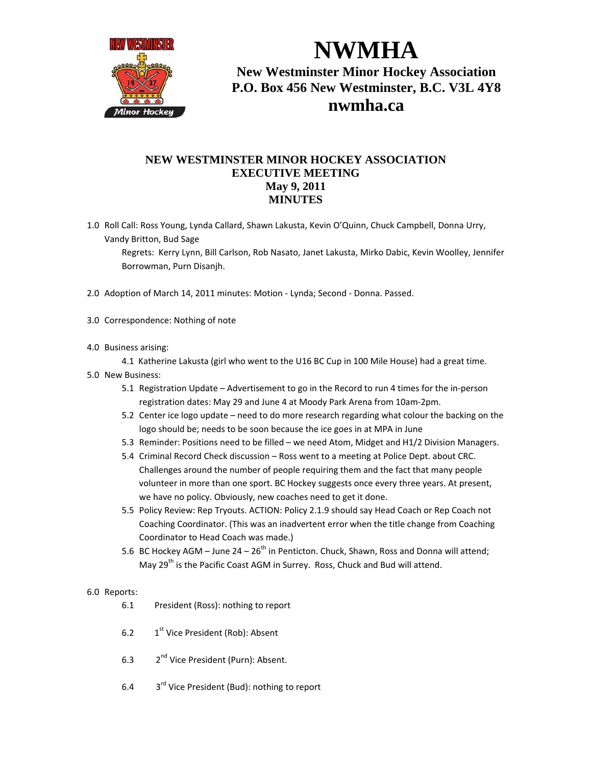

**NWMHA New Westminster Minor Hockey Association P.O. Box 456 New Westminster, B.C. V3L 4Y8 nwmha.ca**

## **NEW WESTMINSTER MINOR HOCKEY ASSOCIATION EXECUTIVE MEETING May 9, 2011 MINUTES**

1.0 Roll Call: Ross Young, Lynda Callard, Shawn Lakusta, Kevin O'Quinn, Chuck Campbell, Donna Urry, Vandy Britton, Bud Sage

Regrets: Kerry Lynn, Bill Carlson, Rob Nasato, Janet Lakusta, Mirko Dabic, Kevin Woolley, Jennifer Borrowman, Purn Disanjh.

- 2.0 Adoption of March 14, 2011 minutes: Motion ‐ Lynda; Second ‐ Donna. Passed.
- 3.0 Correspondence: Nothing of note
- 4.0 Business arising:

4.1 Katherine Lakusta (girl who went to the U16 BC Cup in 100 Mile House) had a great time.

- 5.0 New Business:
	- 5.1 Registration Update Advertisement to go in the Record to run 4 times for the in-person registration dates: May 29 and June 4 at Moody Park Arena from 10am‐2pm.
	- 5.2 Center ice logo update need to do more research regarding what colour the backing on the logo should be; needs to be soon because the ice goes in at MPA in June
	- 5.3 Reminder: Positions need to be filled we need Atom, Midget and H1/2 Division Managers.
	- 5.4 Criminal Record Check discussion Ross went to a meeting at Police Dept. about CRC. Challenges around the number of people requiring them and the fact that many people volunteer in more than one sport. BC Hockey suggests once every three years. At present, we have no policy. Obviously, new coaches need to get it done.
	- 5.5 Policy Review: Rep Tryouts. ACTION: Policy 2.1.9 should say Head Coach or Rep Coach not Coaching Coordinator. (This was an inadvertent error when the title change from Coaching Coordinator to Head Coach was made.)
	- 5.6 BC Hockey AGM June  $24 26^{th}$  in Penticton. Chuck, Shawn, Ross and Donna will attend; May 29<sup>th</sup> is the Pacific Coast AGM in Surrey. Ross, Chuck and Bud will attend.

## 6.0 Reports:

- 6.1 President (Ross): nothing to report
- 6.2  $1<sup>st</sup>$  Vice President (Rob): Absent
- 6.3 2nd Vice President (Purn): Absent.
- 6.4  $3<sup>rd</sup>$  Vice President (Bud): nothing to report